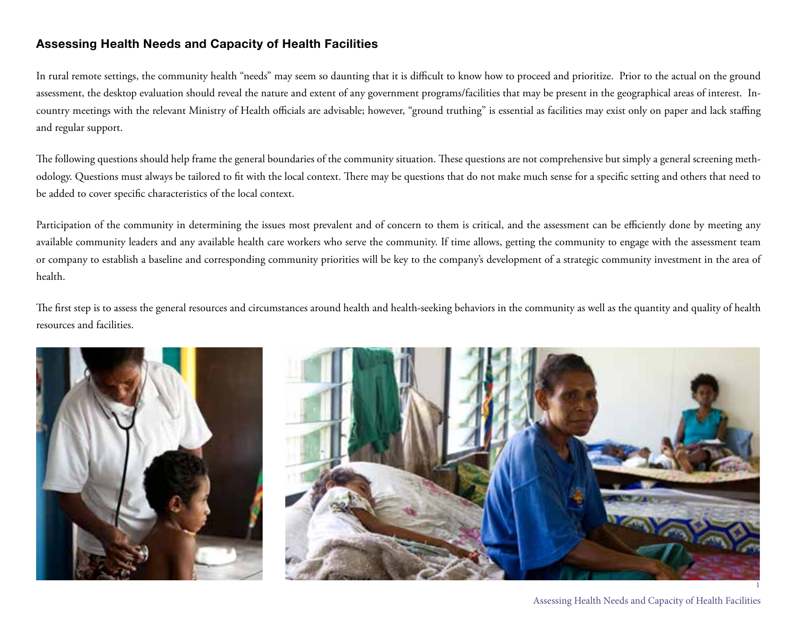## **Assessing Health Needs and Capacity of Health Facilities**

In rural remote settings, the community health "needs" may seem so daunting that it is difficult to know how to proceed and prioritize. Prior to the actual on the ground assessment, the desktop evaluation should reveal the nature and extent of any government programs/facilities that may be present in the geographical areas of interest. Incountry meetings with the relevant Ministry of Health officials are advisable; however, "ground truthing" is essential as facilities may exist only on paper and lack staffing and regular support.

The following questions should help frame the general boundaries of the community situation. These questions are not comprehensive but simply a general screening methodology. Questions must always be tailored to fit with the local context. There may be questions that do not make much sense for a specific setting and others that need to be added to cover specific characteristics of the local context.

Participation of the community in determining the issues most prevalent and of concern to them is critical, and the assessment can be efficiently done by meeting any available community leaders and any available health care workers who serve the community. If time allows, getting the community to engage with the assessment team or company to establish a baseline and corresponding community priorities will be key to the company's development of a strategic community investment in the area of health.

The first step is to assess the general resources and circumstances around health and health-seeking behaviors in the community as well as the quantity and quality of health resources and facilities.





Assessing Health Needs and Capacity of Health Facilities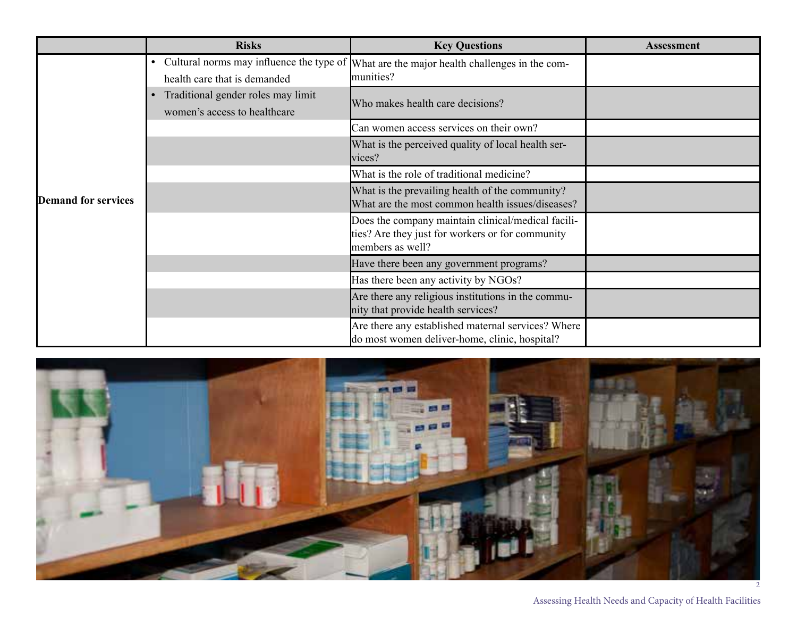|                            | <b>Risks</b>                                                             | <b>Key Questions</b>                                                                                                       | <b>Assessment</b> |
|----------------------------|--------------------------------------------------------------------------|----------------------------------------------------------------------------------------------------------------------------|-------------------|
| <b>Demand for services</b> | Cultural norms may influence the type of<br>health care that is demanded | What are the major health challenges in the com-<br>munities?                                                              |                   |
|                            | Traditional gender roles may limit<br>women's access to healthcare       | Who makes health care decisions?                                                                                           |                   |
|                            |                                                                          | Can women access services on their own?                                                                                    |                   |
|                            |                                                                          | What is the perceived quality of local health ser-<br>vices?                                                               |                   |
|                            |                                                                          | What is the role of traditional medicine?                                                                                  |                   |
|                            |                                                                          | What is the prevailing health of the community?<br>What are the most common health issues/diseases?                        |                   |
|                            |                                                                          | Does the company maintain clinical/medical facili-<br>ties? Are they just for workers or for community<br>members as well? |                   |
|                            |                                                                          | Have there been any government programs?                                                                                   |                   |
|                            |                                                                          | Has there been any activity by NGOs?                                                                                       |                   |
|                            |                                                                          | Are there any religious institutions in the commu-<br>nity that provide health services?                                   |                   |
|                            |                                                                          | Are there any established maternal services? Where<br>do most women deliver-home, clinic, hospital?                        |                   |

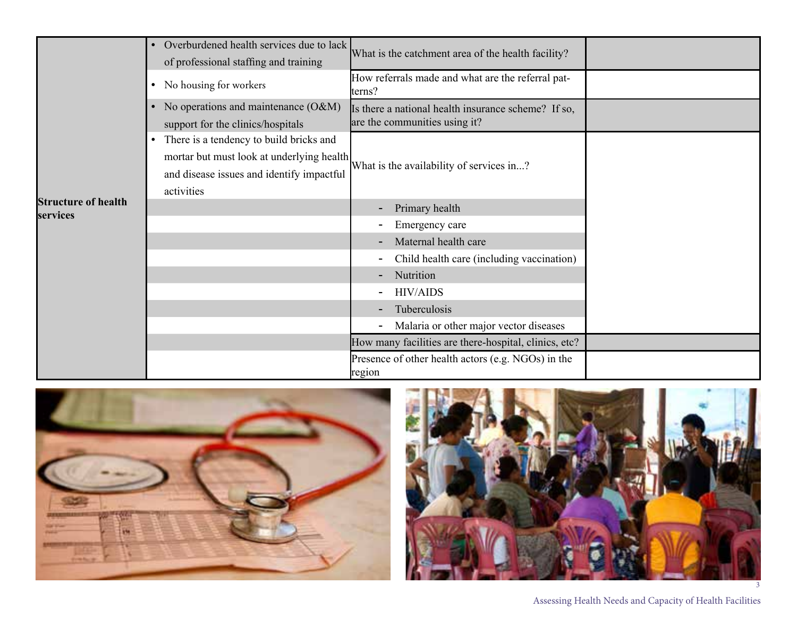|                                        | Overburdened health services due to lack<br>of professional staffing and training                                                                            | What is the catchment area of the health facility?                                   |  |
|----------------------------------------|--------------------------------------------------------------------------------------------------------------------------------------------------------------|--------------------------------------------------------------------------------------|--|
|                                        | No housing for workers<br>$\bullet$                                                                                                                          | How referrals made and what are the referral pat-<br>terns?                          |  |
|                                        | No operations and maintenance (O&M)<br>support for the clinics/hospitals                                                                                     | Is there a national health insurance scheme? If so,<br>are the communities using it? |  |
|                                        | There is a tendency to build bricks and<br>$\bullet$<br>mortar but must look at underlying health<br>and disease issues and identify impactful<br>activities | What is the availability of services in?                                             |  |
| <b>Structure of health</b><br>services |                                                                                                                                                              | Primary health                                                                       |  |
|                                        |                                                                                                                                                              | Emergency care                                                                       |  |
|                                        |                                                                                                                                                              | Maternal health care                                                                 |  |
|                                        |                                                                                                                                                              | Child health care (including vaccination)                                            |  |
|                                        |                                                                                                                                                              | Nutrition                                                                            |  |
|                                        |                                                                                                                                                              | <b>HIV/AIDS</b>                                                                      |  |
|                                        |                                                                                                                                                              | Tuberculosis                                                                         |  |
|                                        |                                                                                                                                                              | Malaria or other major vector diseases                                               |  |
|                                        |                                                                                                                                                              | How many facilities are there-hospital, clinics, etc?                                |  |
|                                        |                                                                                                                                                              | Presence of other health actors (e.g. NGOs) in the<br>region                         |  |





Assessing Health Needs and Capacity of Health Facilities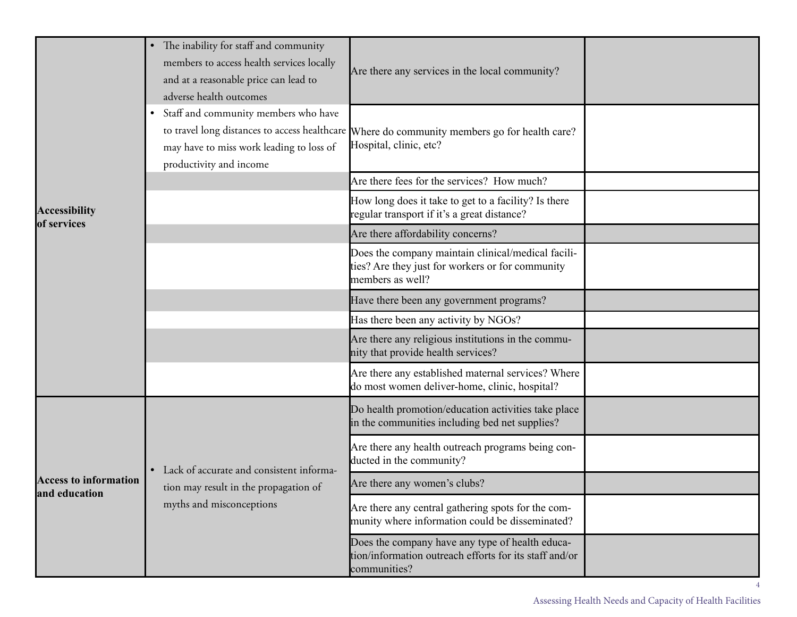|                                               | The inability for staff and community<br>$\bullet$<br>members to access health services locally<br>and at a reasonable price can lead to<br>adverse health outcomes<br>• Staff and community members who have<br>may have to miss work leading to loss of | Are there any services in the local community?<br>to travel long distances to access healthcare Where do community members go for health care?<br>Hospital, clinic, etc? |  |
|-----------------------------------------------|-----------------------------------------------------------------------------------------------------------------------------------------------------------------------------------------------------------------------------------------------------------|--------------------------------------------------------------------------------------------------------------------------------------------------------------------------|--|
|                                               | productivity and income                                                                                                                                                                                                                                   |                                                                                                                                                                          |  |
|                                               |                                                                                                                                                                                                                                                           | Are there fees for the services? How much?                                                                                                                               |  |
| <b>Accessibility</b><br>of services           |                                                                                                                                                                                                                                                           | How long does it take to get to a facility? Is there<br>regular transport if it's a great distance?                                                                      |  |
|                                               |                                                                                                                                                                                                                                                           | Are there affordability concerns?                                                                                                                                        |  |
|                                               |                                                                                                                                                                                                                                                           | Does the company maintain clinical/medical facili-<br>ties? Are they just for workers or for community<br>members as well?                                               |  |
|                                               |                                                                                                                                                                                                                                                           | Have there been any government programs?                                                                                                                                 |  |
|                                               |                                                                                                                                                                                                                                                           | Has there been any activity by NGOs?                                                                                                                                     |  |
|                                               |                                                                                                                                                                                                                                                           | Are there any religious institutions in the commu-<br>nity that provide health services?                                                                                 |  |
|                                               |                                                                                                                                                                                                                                                           | Are there any established maternal services? Where<br>do most women deliver-home, clinic, hospital?                                                                      |  |
| <b>Access to information</b><br>and education | • Lack of accurate and consistent informa-<br>tion may result in the propagation of<br>myths and misconceptions                                                                                                                                           | Do health promotion/education activities take place<br>in the communities including bed net supplies?                                                                    |  |
|                                               |                                                                                                                                                                                                                                                           | Are there any health outreach programs being con-<br>ducted in the community?                                                                                            |  |
|                                               |                                                                                                                                                                                                                                                           | Are there any women's clubs?                                                                                                                                             |  |
|                                               |                                                                                                                                                                                                                                                           | Are there any central gathering spots for the com-<br>munity where information could be disseminated?                                                                    |  |
|                                               |                                                                                                                                                                                                                                                           | Does the company have any type of health educa-<br>tion/information outreach efforts for its staff and/or<br>communities?                                                |  |

4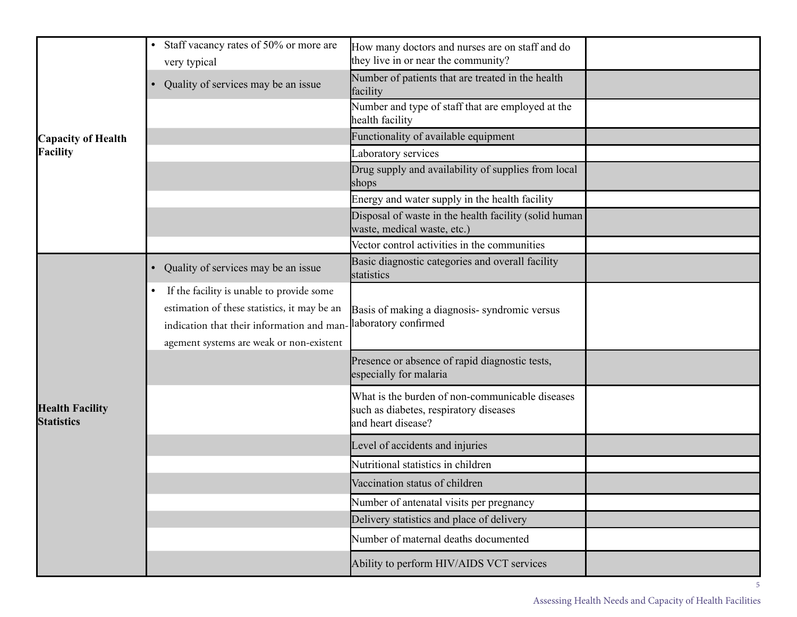| <b>Capacity of Health</b><br><b>Facility</b> | Staff vacancy rates of 50% or more are<br>very typical                                                                                                                                          | How many doctors and nurses are on staff and do<br>they live in or near the community?                          |  |
|----------------------------------------------|-------------------------------------------------------------------------------------------------------------------------------------------------------------------------------------------------|-----------------------------------------------------------------------------------------------------------------|--|
|                                              | Quality of services may be an issue                                                                                                                                                             | Number of patients that are treated in the health<br>facility                                                   |  |
|                                              |                                                                                                                                                                                                 | Number and type of staff that are employed at the<br>health facility                                            |  |
|                                              |                                                                                                                                                                                                 | Functionality of available equipment                                                                            |  |
|                                              |                                                                                                                                                                                                 | Laboratory services                                                                                             |  |
|                                              |                                                                                                                                                                                                 | Drug supply and availability of supplies from local<br>shops                                                    |  |
|                                              |                                                                                                                                                                                                 | Energy and water supply in the health facility                                                                  |  |
|                                              |                                                                                                                                                                                                 | Disposal of waste in the health facility (solid human<br>waste, medical waste, etc.)                            |  |
|                                              |                                                                                                                                                                                                 | Vector control activities in the communities                                                                    |  |
| <b>Health Facility</b><br><b>Statistics</b>  | Quality of services may be an issue<br>$\bullet$                                                                                                                                                | Basic diagnostic categories and overall facility<br>statistics                                                  |  |
|                                              | If the facility is unable to provide some<br>$\bullet$<br>estimation of these statistics, it may be an<br>indication that their information and man<br>agement systems are weak or non-existent | Basis of making a diagnosis-syndromic versus<br>laboratory confirmed                                            |  |
|                                              |                                                                                                                                                                                                 | Presence or absence of rapid diagnostic tests,<br>especially for malaria                                        |  |
|                                              |                                                                                                                                                                                                 | What is the burden of non-communicable diseases<br>such as diabetes, respiratory diseases<br>and heart disease? |  |
|                                              |                                                                                                                                                                                                 | Level of accidents and injuries                                                                                 |  |
|                                              |                                                                                                                                                                                                 | Nutritional statistics in children                                                                              |  |
|                                              |                                                                                                                                                                                                 | Vaccination status of children                                                                                  |  |
|                                              |                                                                                                                                                                                                 | Number of antenatal visits per pregnancy                                                                        |  |
|                                              |                                                                                                                                                                                                 | Delivery statistics and place of delivery                                                                       |  |
|                                              |                                                                                                                                                                                                 | Number of maternal deaths documented                                                                            |  |
|                                              |                                                                                                                                                                                                 | Ability to perform HIV/AIDS VCT services                                                                        |  |